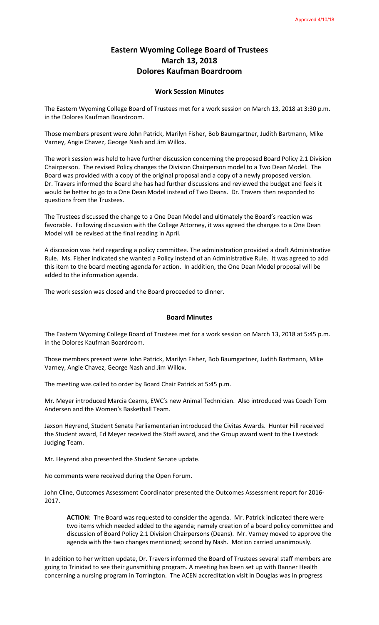## **Eastern Wyoming College Board of Trustees March 13, 2018 Dolores Kaufman Boardroom**

## **Work Session Minutes**

The Eastern Wyoming College Board of Trustees met for a work session on March 13, 2018 at 3:30 p.m. in the Dolores Kaufman Boardroom.

Those members present were John Patrick, Marilyn Fisher, Bob Baumgartner, Judith Bartmann, Mike Varney, Angie Chavez, George Nash and Jim Willox.

The work session was held to have further discussion concerning the proposed Board Policy 2.1 Division Chairperson. The revised Policy changes the Division Chairperson model to a Two Dean Model. The Board was provided with a copy of the original proposal and a copy of a newly proposed version. Dr. Travers informed the Board she has had further discussions and reviewed the budget and feels it would be better to go to a One Dean Model instead of Two Deans. Dr. Travers then responded to questions from the Trustees.

The Trustees discussed the change to a One Dean Model and ultimately the Board's reaction was favorable. Following discussion with the College Attorney, it was agreed the changes to a One Dean Model will be revised at the final reading in April.

A discussion was held regarding a policy committee. The administration provided a draft Administrative Rule. Ms. Fisher indicated she wanted a Policy instead of an Administrative Rule. It was agreed to add this item to the board meeting agenda for action. In addition, the One Dean Model proposal will be added to the information agenda.

The work session was closed and the Board proceeded to dinner.

## **Board Minutes**

The Eastern Wyoming College Board of Trustees met for a work session on March 13, 2018 at 5:45 p.m. in the Dolores Kaufman Boardroom.

Those members present were John Patrick, Marilyn Fisher, Bob Baumgartner, Judith Bartmann, Mike Varney, Angie Chavez, George Nash and Jim Willox.

The meeting was called to order by Board Chair Patrick at 5:45 p.m.

Mr. Meyer introduced Marcia Cearns, EWC's new Animal Technician. Also introduced was Coach Tom Andersen and the Women's Basketball Team.

Jaxson Heyrend, Student Senate Parliamentarian introduced the Civitas Awards. Hunter Hill received the Student award, Ed Meyer received the Staff award, and the Group award went to the Livestock Judging Team.

Mr. Heyrend also presented the Student Senate update.

No comments were received during the Open Forum.

John Cline, Outcomes Assessment Coordinator presented the Outcomes Assessment report for 2016- 2017.

**ACTION**: The Board was requested to consider the agenda. Mr. Patrick indicated there were two items which needed added to the agenda; namely creation of a board policy committee and discussion of Board Policy 2.1 Division Chairpersons (Deans). Mr. Varney moved to approve the agenda with the two changes mentioned; second by Nash. Motion carried unanimously.

In addition to her written update, Dr. Travers informed the Board of Trustees several staff members are going to Trinidad to see their gunsmithing program. A meeting has been set up with Banner Health concerning a nursing program in Torrington. The ACEN accreditation visit in Douglas was in progress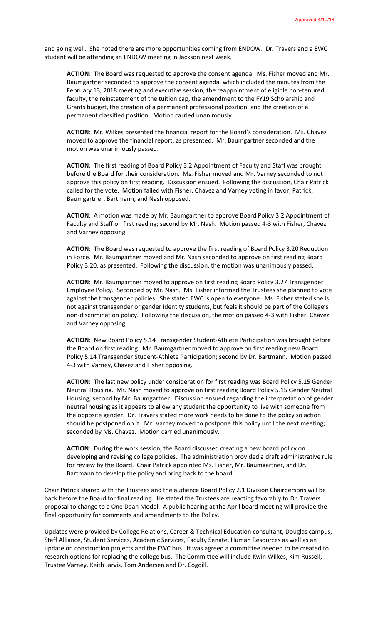and going well. She noted there are more opportunities coming from ENDOW. Dr. Travers and a EWC student will be attending an ENDOW meeting in Jackson next week.

**ACTION**: The Board was requested to approve the consent agenda. Ms. Fisher moved and Mr. Baumgartner seconded to approve the consent agenda, which included the minutes from the February 13, 2018 meeting and executive session, the reappointment of eligible non-tenured faculty, the reinstatement of the tuition cap, the amendment to the FY19 Scholarship and Grants budget, the creation of a permanent professional position, and the creation of a permanent classified position. Motion carried unanimously.

**ACTION**: Mr. Wilkes presented the financial report for the Board's consideration. Ms. Chavez moved to approve the financial report, as presented. Mr. Baumgartner seconded and the motion was unanimously passed.

**ACTION**: The first reading of Board Policy 3.2 Appointment of Faculty and Staff was brought before the Board for their consideration. Ms. Fisher moved and Mr. Varney seconded to not approve this policy on first reading. Discussion ensued. Following the discussion, Chair Patrick called for the vote. Motion failed with Fisher, Chavez and Varney voting in favor; Patrick, Baumgartner, Bartmann, and Nash opposed.

**ACTION**: A motion was made by Mr. Baumgartner to approve Board Policy 3.2 Appointment of Faculty and Staff on first reading; second by Mr. Nash. Motion passed 4-3 with Fisher, Chavez and Varney opposing.

**ACTION**: The Board was requested to approve the first reading of Board Policy 3.20 Reduction in Force. Mr. Baumgartner moved and Mr. Nash seconded to approve on first reading Board Policy 3.20, as presented. Following the discussion, the motion was unanimously passed.

**ACTION**: Mr. Baumgartner moved to approve on first reading Board Policy 3.27 Transgender Employee Policy. Seconded by Mr. Nash. Ms. Fisher informed the Trustees she planned to vote against the transgender policies. She stated EWC is open to everyone. Ms. Fisher stated she is not against transgender or gender identity students, but feels it should be part of the College's non-discrimination policy. Following the discussion, the motion passed 4-3 with Fisher, Chavez and Varney opposing.

**ACTION**: New Board Policy 5.14 Transgender Student-Athlete Participation was brought before the Board on first reading. Mr. Baumgartner moved to approve on first reading new Board Policy 5.14 Transgender Student-Athlete Participation; second by Dr. Bartmann. Motion passed 4-3 with Varney, Chavez and Fisher opposing.

**ACTION**: The last new policy under consideration for first reading was Board Policy 5.15 Gender Neutral Housing. Mr. Nash moved to approve on first reading Board Policy 5.15 Gender Neutral Housing; second by Mr. Baumgartner. Discussion ensued regarding the interpretation of gender neutral housing as it appears to allow any student the opportunity to live with someone from the opposite gender. Dr. Travers stated more work needs to be done to the policy so action should be postponed on it. Mr. Varney moved to postpone this policy until the next meeting; seconded by Ms. Chavez. Motion carried unanimously.

**ACTION**: During the work session, the Board discussed creating a new board policy on developing and revising college policies. The administration provided a draft administrative rule for review by the Board. Chair Patrick appointed Ms. Fisher, Mr. Baumgartner, and Dr. Bartmann to develop the policy and bring back to the board.

Chair Patrick shared with the Trustees and the audience Board Policy 2.1 Division Chairpersons will be back before the Board for final reading. He stated the Trustees are reacting favorably to Dr. Travers proposal to change to a One Dean Model. A public hearing at the April board meeting will provide the final opportunity for comments and amendments to the Policy.

Updates were provided by College Relations, Career & Technical Education consultant, Douglas campus, Staff Alliance, Student Services, Academic Services, Faculty Senate, Human Resources as well as an update on construction projects and the EWC bus. It was agreed a committee needed to be created to research options for replacing the college bus. The Committee will include Kwin Wilkes, Kim Russell, Trustee Varney, Keith Jarvis, Tom Andersen and Dr. Cogdill.